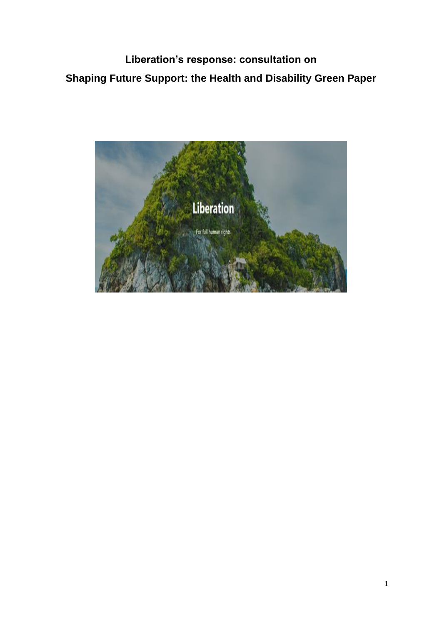**Liberation's response: consultation on Shaping Future Support: the Health and Disability Green Paper**

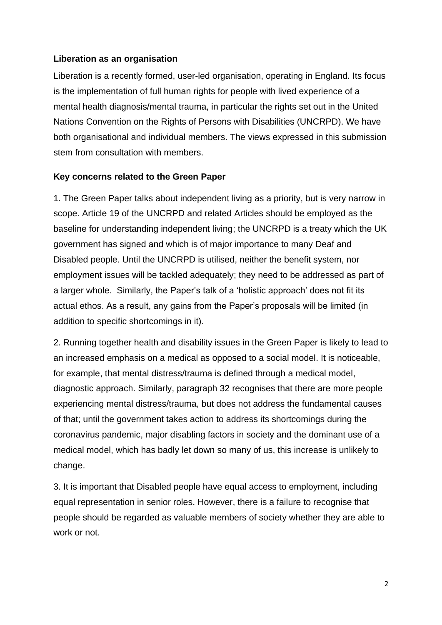## **Liberation as an organisation**

Liberation is a recently formed, user-led organisation, operating in England. Its focus is the implementation of full human rights for people with lived experience of a mental health diagnosis/mental trauma, in particular the rights set out in the United Nations Convention on the Rights of Persons with Disabilities (UNCRPD). We have both organisational and individual members. The views expressed in this submission stem from consultation with members.

## **Key concerns related to the Green Paper**

1. The Green Paper talks about independent living as a priority, but is very narrow in scope. Article 19 of the UNCRPD and related Articles should be employed as the baseline for understanding independent living; the UNCRPD is a treaty which the UK government has signed and which is of major importance to many Deaf and Disabled people. Until the UNCRPD is utilised, neither the benefit system, nor employment issues will be tackled adequately; they need to be addressed as part of a larger whole. Similarly, the Paper's talk of a 'holistic approach' does not fit its actual ethos. As a result, any gains from the Paper's proposals will be limited (in addition to specific shortcomings in it).

2. Running together health and disability issues in the Green Paper is likely to lead to an increased emphasis on a medical as opposed to a social model. It is noticeable, for example, that mental distress/trauma is defined through a medical model, diagnostic approach. Similarly, paragraph 32 recognises that there are more people experiencing mental distress/trauma, but does not address the fundamental causes of that; until the government takes action to address its shortcomings during the coronavirus pandemic, major disabling factors in society and the dominant use of a medical model, which has badly let down so many of us, this increase is unlikely to change.

3. It is important that Disabled people have equal access to employment, including equal representation in senior roles. However, there is a failure to recognise that people should be regarded as valuable members of society whether they are able to work or not.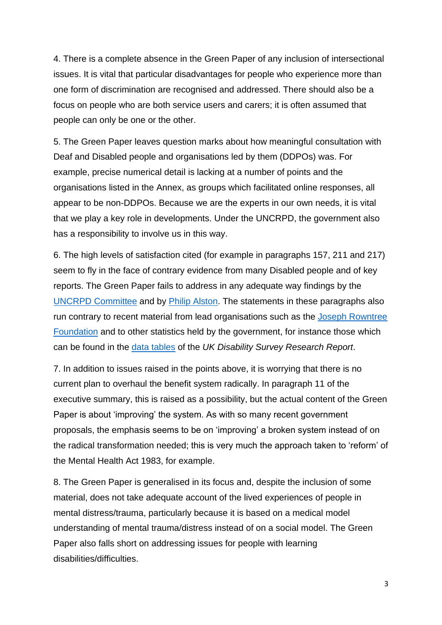4. There is a complete absence in the Green Paper of any inclusion of intersectional issues. It is vital that particular disadvantages for people who experience more than one form of discrimination are recognised and addressed. There should also be a focus on people who are both service users and carers; it is often assumed that people can only be one or the other.

5. The Green Paper leaves question marks about how meaningful consultation with Deaf and Disabled people and organisations led by them (DDPOs) was. For example, precise numerical detail is lacking at a number of points and the organisations listed in the Annex, as groups which facilitated online responses, all appear to be non-DDPOs. Because we are the experts in our own needs, it is vital that we play a key role in developments. Under the UNCRPD, the government also has a responsibility to involve us in this way.

6. The high levels of satisfaction cited (for example in paragraphs 157, 211 and 217) seem to fly in the face of contrary evidence from many Disabled people and of key reports. The Green Paper fails to address in any adequate way findings by the [UNCRPD Committee](https://docstore.ohchr.org/SelfServices/FilesHandler.ashx?enc=6QkG1d%2FPPRiCAqhKb7yhspCUnZhK1jU66fLQJyHIkqMIT3RDaLiqzhH8tVNxhro6S657eVNwuqlzu0xvsQUehREyYEQD%2BldQaLP31QDpRcmG35KYFtgGyAN%2BaB7cyky7) and by [Philip Alston.](https://undocs.org/A/HRC/41/39/Add.1) The statements in these paragraphs also run contrary to recent material from lead organisations such as the [Joseph Rowntree](https://www.jrf.org.uk/report/our-social-security-lifeline-it-strong-enough)  [Foundation](https://www.jrf.org.uk/report/our-social-security-lifeline-it-strong-enough) and to other statistics held by the government, for instance those which can be found in the [data tables](https://www.gov.uk/government/publications/uk-disability-survey-research-report-june-2021/uk-disability-survey-research-report-data-tables) of the *UK Disability Survey Research Report*.

7. In addition to issues raised in the points above, it is worrying that there is no current plan to overhaul the benefit system radically. In paragraph 11 of the executive summary, this is raised as a possibility, but the actual content of the Green Paper is about 'improving' the system. As with so many recent government proposals, the emphasis seems to be on 'improving' a broken system instead of on the radical transformation needed; this is very much the approach taken to 'reform' of the Mental Health Act 1983, for example.

8. The Green Paper is generalised in its focus and, despite the inclusion of some material, does not take adequate account of the lived experiences of people in mental distress/trauma, particularly because it is based on a medical model understanding of mental trauma/distress instead of on a social model. The Green Paper also falls short on addressing issues for people with learning disabilities/difficulties.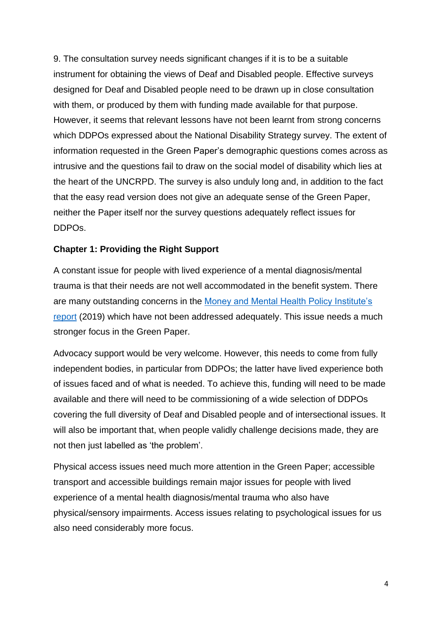9. The consultation survey needs significant changes if it is to be a suitable instrument for obtaining the views of Deaf and Disabled people. Effective surveys designed for Deaf and Disabled people need to be drawn up in close consultation with them, or produced by them with funding made available for that purpose. However, it seems that relevant lessons have not been learnt from strong concerns which DDPOs expressed about the National Disability Strategy survey. The extent of information requested in the Green Paper's demographic questions comes across as intrusive and the questions fail to draw on the social model of disability which lies at the heart of the UNCRPD. The survey is also unduly long and, in addition to the fact that the easy read version does not give an adequate sense of the Green Paper, neither the Paper itself nor the survey questions adequately reflect issues for DDPOs.

# **Chapter 1: Providing the Right Support**

A constant issue for people with lived experience of a mental diagnosis/mental trauma is that their needs are not well accommodated in the benefit system. There are many outstanding concerns in the [Money and Mental Health Policy Institute's](https://www.moneyandmentalhealth.org/wp-content/uploads/2019/03/MMH-The-Benefits-Assault-Course-UPDATED.pdf)  [report](https://www.moneyandmentalhealth.org/wp-content/uploads/2019/03/MMH-The-Benefits-Assault-Course-UPDATED.pdf) (2019) which have not been addressed adequately. This issue needs a much stronger focus in the Green Paper.

Advocacy support would be very welcome. However, this needs to come from fully independent bodies, in particular from DDPOs; the latter have lived experience both of issues faced and of what is needed. To achieve this, funding will need to be made available and there will need to be commissioning of a wide selection of DDPOs covering the full diversity of Deaf and Disabled people and of intersectional issues. It will also be important that, when people validly challenge decisions made, they are not then just labelled as 'the problem'.

Physical access issues need much more attention in the Green Paper; accessible transport and accessible buildings remain major issues for people with lived experience of a mental health diagnosis/mental trauma who also have physical/sensory impairments. Access issues relating to psychological issues for us also need considerably more focus.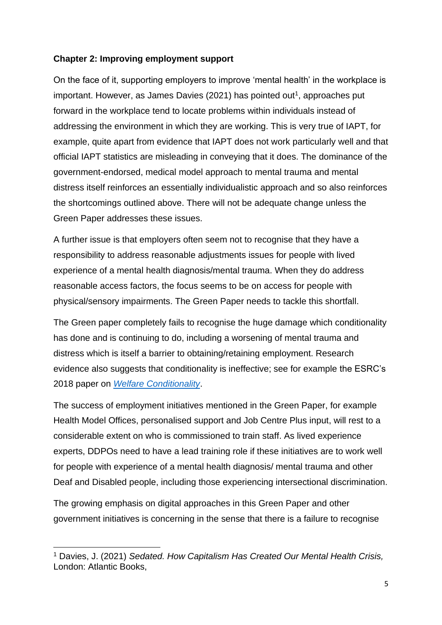# **Chapter 2: Improving employment support**

On the face of it, supporting employers to improve 'mental health' in the workplace is important. However, as James Davies (2021) has pointed out<sup>1</sup>, approaches put forward in the workplace tend to locate problems within individuals instead of addressing the environment in which they are working. This is very true of IAPT, for example, quite apart from evidence that IAPT does not work particularly well and that official IAPT statistics are misleading in conveying that it does. The dominance of the government-endorsed, medical model approach to mental trauma and mental distress itself reinforces an essentially individualistic approach and so also reinforces the shortcomings outlined above. There will not be adequate change unless the Green Paper addresses these issues.

A further issue is that employers often seem not to recognise that they have a responsibility to address reasonable adjustments issues for people with lived experience of a mental health diagnosis/mental trauma. When they do address reasonable access factors, the focus seems to be on access for people with physical/sensory impairments. The Green Paper needs to tackle this shortfall.

The Green paper completely fails to recognise the huge damage which conditionality has done and is continuing to do, including a worsening of mental trauma and distress which is itself a barrier to obtaining/retaining employment. Research evidence also suggests that conditionality is ineffective; see for example the ESRC's 2018 paper on *[Welfare Conditionality](http://www.welfareconditionality.ac.uk/wp-content/uploads/2018/05/40414_Overview-HR4.pdf)*.

The success of employment initiatives mentioned in the Green Paper, for example Health Model Offices, personalised support and Job Centre Plus input, will rest to a considerable extent on who is commissioned to train staff. As lived experience experts, DDPOs need to have a lead training role if these initiatives are to work well for people with experience of a mental health diagnosis/ mental trauma and other Deaf and Disabled people, including those experiencing intersectional discrimination.

The growing emphasis on digital approaches in this Green Paper and other government initiatives is concerning in the sense that there is a failure to recognise

<sup>1</sup> Davies, J. (2021) *Sedated. How Capitalism Has Created Our Mental Health Crisis,*  London: Atlantic Books,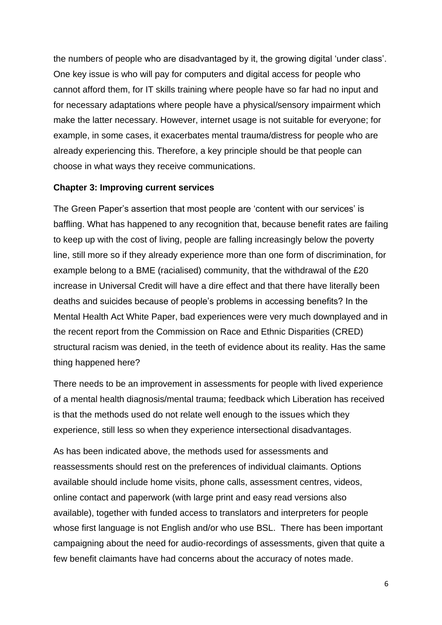the numbers of people who are disadvantaged by it, the growing digital 'under class'. One key issue is who will pay for computers and digital access for people who cannot afford them, for IT skills training where people have so far had no input and for necessary adaptations where people have a physical/sensory impairment which make the latter necessary. However, internet usage is not suitable for everyone; for example, in some cases, it exacerbates mental trauma/distress for people who are already experiencing this. Therefore, a key principle should be that people can choose in what ways they receive communications.

#### **Chapter 3: Improving current services**

The Green Paper's assertion that most people are 'content with our services' is baffling. What has happened to any recognition that, because benefit rates are failing to keep up with the cost of living, people are falling increasingly below the poverty line, still more so if they already experience more than one form of discrimination, for example belong to a BME (racialised) community, that the withdrawal of the £20 increase in Universal Credit will have a dire effect and that there have literally been deaths and suicides because of people's problems in accessing benefits? In the Mental Health Act White Paper, bad experiences were very much downplayed and in the recent report from the Commission on Race and Ethnic Disparities (CRED) structural racism was denied, in the teeth of evidence about its reality. Has the same thing happened here?

There needs to be an improvement in assessments for people with lived experience of a mental health diagnosis/mental trauma; feedback which Liberation has received is that the methods used do not relate well enough to the issues which they experience, still less so when they experience intersectional disadvantages.

As has been indicated above, the methods used for assessments and reassessments should rest on the preferences of individual claimants. Options available should include home visits, phone calls, assessment centres, videos, online contact and paperwork (with large print and easy read versions also available), together with funded access to translators and interpreters for people whose first language is not English and/or who use BSL. There has been important campaigning about the need for audio-recordings of assessments, given that quite a few benefit claimants have had concerns about the accuracy of notes made.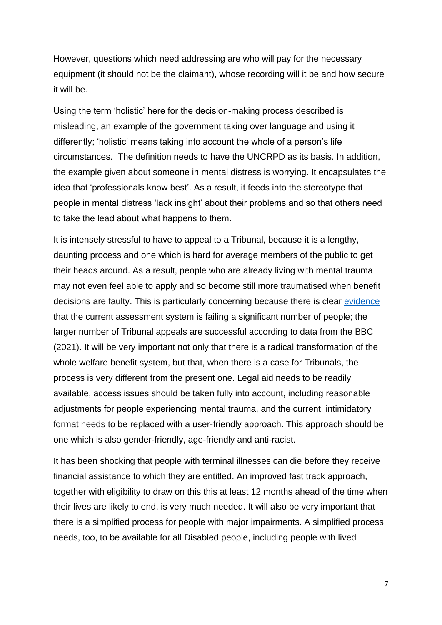However, questions which need addressing are who will pay for the necessary equipment (it should not be the claimant), whose recording will it be and how secure it will be.

Using the term 'holistic' here for the decision-making process described is misleading, an example of the government taking over language and using it differently; 'holistic' means taking into account the whole of a person's life circumstances. The definition needs to have the UNCRPD as its basis. In addition, the example given about someone in mental distress is worrying. It encapsulates the idea that 'professionals know best'. As a result, it feeds into the stereotype that people in mental distress 'lack insight' about their problems and so that others need to take the lead about what happens to them.

It is intensely stressful to have to appeal to a Tribunal, because it is a lengthy, daunting process and one which is hard for average members of the public to get their heads around. As a result, people who are already living with mental trauma may not even feel able to apply and so become still more traumatised when benefit decisions are faulty. This is particularly concerning because there is clear [evidence](https://www.bbc.co.uk/news/uk-58284613) that the current assessment system is failing a significant number of people; the larger number of Tribunal appeals are successful according to data from the BBC (2021). It will be very important not only that there is a radical transformation of the whole welfare benefit system, but that, when there is a case for Tribunals, the process is very different from the present one. Legal aid needs to be readily available, access issues should be taken fully into account, including reasonable adjustments for people experiencing mental trauma, and the current, intimidatory format needs to be replaced with a user-friendly approach. This approach should be one which is also gender-friendly, age-friendly and anti-racist.

It has been shocking that people with terminal illnesses can die before they receive financial assistance to which they are entitled. An improved fast track approach, together with eligibility to draw on this this at least 12 months ahead of the time when their lives are likely to end, is very much needed. It will also be very important that there is a simplified process for people with major impairments. A simplified process needs, too, to be available for all Disabled people, including people with lived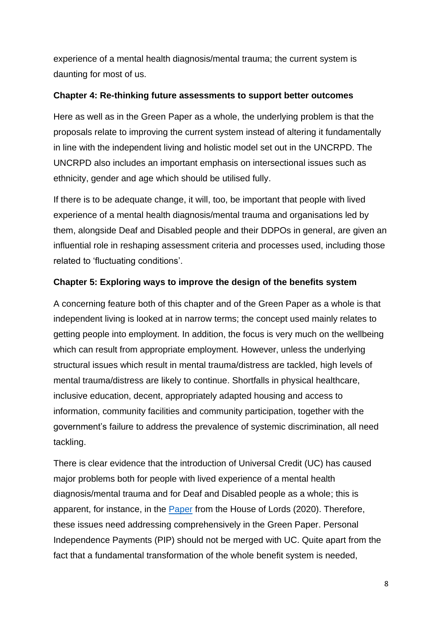experience of a mental health diagnosis/mental trauma; the current system is daunting for most of us.

## **Chapter 4: Re-thinking future assessments to support better outcomes**

Here as well as in the Green Paper as a whole, the underlying problem is that the proposals relate to improving the current system instead of altering it fundamentally in line with the independent living and holistic model set out in the UNCRPD. The UNCRPD also includes an important emphasis on intersectional issues such as ethnicity, gender and age which should be utilised fully.

If there is to be adequate change, it will, too, be important that people with lived experience of a mental health diagnosis/mental trauma and organisations led by them, alongside Deaf and Disabled people and their DDPOs in general, are given an influential role in reshaping assessment criteria and processes used, including those related to 'fluctuating conditions'.

# **Chapter 5: Exploring ways to improve the design of the benefits system**

A concerning feature both of this chapter and of the Green Paper as a whole is that independent living is looked at in narrow terms; the concept used mainly relates to getting people into employment. In addition, the focus is very much on the wellbeing which can result from appropriate employment. However, unless the underlying structural issues which result in mental trauma/distress are tackled, high levels of mental trauma/distress are likely to continue. Shortfalls in physical healthcare, inclusive education, decent, appropriately adapted housing and access to information, community facilities and community participation, together with the government's failure to address the prevalence of systemic discrimination, all need tackling.

There is clear evidence that the introduction of Universal Credit (UC) has caused major problems both for people with lived experience of a mental health diagnosis/mental trauma and for Deaf and Disabled people as a whole; this is apparent, for instance, in the [Paper](https://publications.parliament.uk/pa/ld5801/ldselect/ldeconaf/105/105.pdf) from the House of Lords (2020). Therefore, these issues need addressing comprehensively in the Green Paper. Personal Independence Payments (PIP) should not be merged with UC. Quite apart from the fact that a fundamental transformation of the whole benefit system is needed,